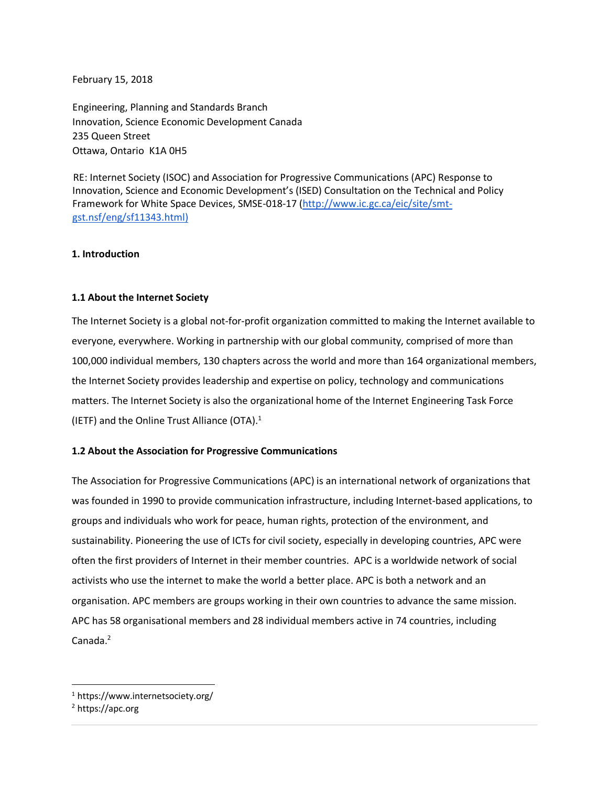February 15, 2018

Engineering, Planning and Standards Branch Innovation, Science Economic Development Canada 235 Queen Street Ottawa, Ontario K1A 0H5

RE: Internet Society (ISOC) and Association for Progressive Communications (APC) Response to Innovation, Science and Economic Development's (ISED) Consultation on the Technical and Policy Framework for White Space Devices, SMSE-018-17 (http://www.ic.gc.ca/eic/site/smtgst.nsf/eng/sf11343.html)

## **1. Introduction**

## **1.1 About the Internet Society**

The Internet Society is a global not-for-profit organization committed to making the Internet available to everyone, everywhere. Working in partnership with our global community, comprised of more than 100,000 individual members, 130 chapters across the world and more than 164 organizational members, the Internet Society provides leadership and expertise on policy, technology and communications matters. The Internet Society is also the organizational home of the Internet Engineering Task Force (IETF) and the Online Trust Alliance (OTA). $1$ 

## **1.2 About the Association for Progressive Communications**

The Association for Progressive Communications (APC) is an international network of organizations that was founded in 1990 to provide communication infrastructure, including Internet-based applications, to groups and individuals who work for peace, human rights, protection of the environment, and sustainability. Pioneering the use of ICTs for civil society, especially in developing countries, APC were often the first providers of Internet in their member countries. APC is a worldwide network of social activists who use the internet to make the world a better place. APC is both a network and an organisation. APC members are groups working in their own countries to advance the same mission. APC has 58 organisational members and 28 individual members active in 74 countries, including Canada.<sup>2</sup>

 <sup>1</sup> https://www.internetsociety.org/

<sup>2</sup> https://apc.org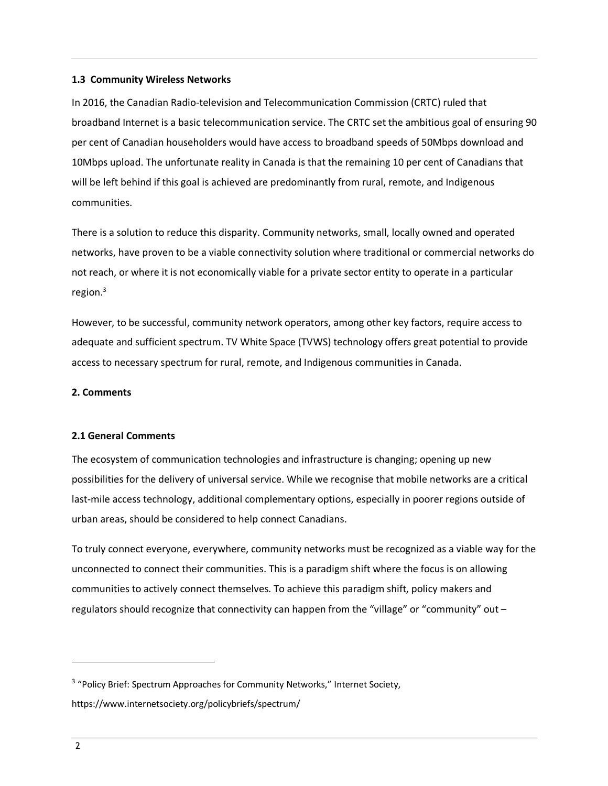## **1.3 Community Wireless Networks**

In 2016, the Canadian Radio-television and Telecommunication Commission (CRTC) ruled that broadband Internet is a basic telecommunication service. The CRTC set the ambitious goal of ensuring 90 per cent of Canadian householders would have access to broadband speeds of 50Mbps download and 10Mbps upload. The unfortunate reality in Canada is that the remaining 10 per cent of Canadians that will be left behind if this goal is achieved are predominantly from rural, remote, and Indigenous communities.

There is a solution to reduce this disparity. Community networks, small, locally owned and operated networks, have proven to be a viable connectivity solution where traditional or commercial networks do not reach, or where it is not economically viable for a private sector entity to operate in a particular region. $3$ 

However, to be successful, community network operators, among other key factors, require access to adequate and sufficient spectrum. TV White Space (TVWS) technology offers great potential to provide access to necessary spectrum for rural, remote, and Indigenous communities in Canada.

#### **2. Comments**

## **2.1 General Comments**

The ecosystem of communication technologies and infrastructure is changing; opening up new possibilities for the delivery of universal service. While we recognise that mobile networks are a critical last-mile access technology, additional complementary options, especially in poorer regions outside of urban areas, should be considered to help connect Canadians.

To truly connect everyone, everywhere, community networks must be recognized as a viable way for the unconnected to connect their communities. This is a paradigm shift where the focus is on allowing communities to actively connect themselves. To achieve this paradigm shift, policy makers and regulators should recognize that connectivity can happen from the "village" or "community" out –

 $\overline{a}$ 

<sup>&</sup>lt;sup>3</sup> "Policy Brief: Spectrum Approaches for Community Networks," Internet Society, https://www.internetsociety.org/policybriefs/spectrum/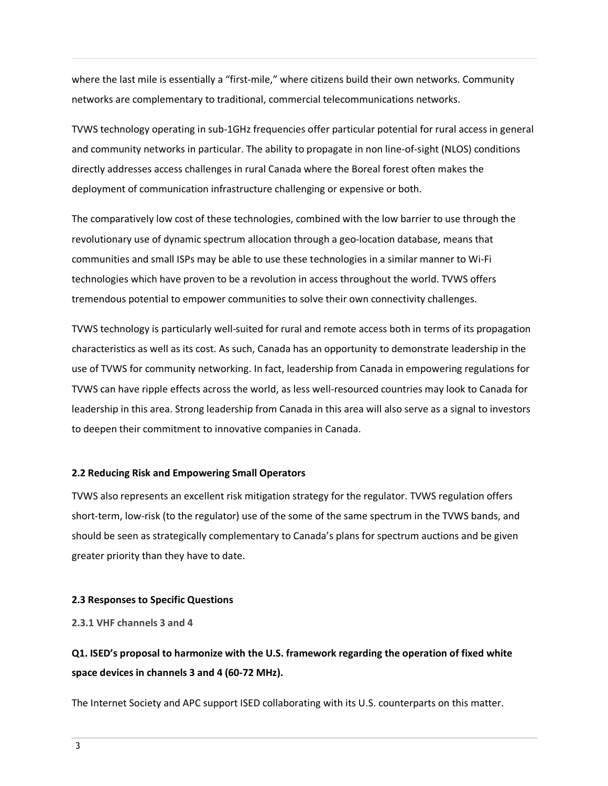where the last mile is essentially a "first-mile," where citizens build their own networks. Community networks are complementary to traditional, commercial telecommunications networks.

TVWS technology operating in sub-1GHz frequencies offer particular potential for rural access in general and community networks in particular. The ability to propagate in non line-of-sight (NLOS) conditions directly addresses access challenges in rural Canada where the Boreal forest often makes the deployment of communication infrastructure challenging or expensive or both.

The comparatively low cost of these technologies, combined with the low barrier to use through the revolutionary use of dynamic spectrum allocation through a geo-location database, means that communities and small ISPs may be able to use these technologies in a similar manner to Wi-Fi technologies which have proven to be a revolution in access throughout the world. TVWS offers tremendous potential to empower communities to solve their own connectivity challenges.

TVWS technology is particularly well-suited for rural and remote access both in terms of its propagation characteristics as well as its cost. As such, Canada has an opportunity to demonstrate leadership in the use of TVWS for community networking. In fact, leadership from Canada in empowering regulations for TVWS can have ripple effects across the world, as less well-resourced countries may look to Canada for leadership in this area. Strong leadership from Canada in this area will also serve as a signal to investors to deepen their commitment to innovative companies in Canada.

#### **2.2 Reducing Risk and Empowering Small Operators**

TVWS also represents an excellent risk mitigation strategy for the regulator. TVWS regulation offers short-term, low-risk (to the regulator) use of the some of the same spectrum in the TVWS bands, and should be seen as strategically complementary to Canada's plans for spectrum auctions and be given greater priority than they have to date.

#### **2.3 Responses to Specific Questions**

**2.3.1 VHF channels 3 and 4**

## **Q1. ISED's proposal to harmonize with the U.S. framework regarding the operation of fixed white space devices in channels 3 and 4 (60-72 MHz).**

The Internet Society and APC support ISED collaborating with its U.S. counterparts on this matter.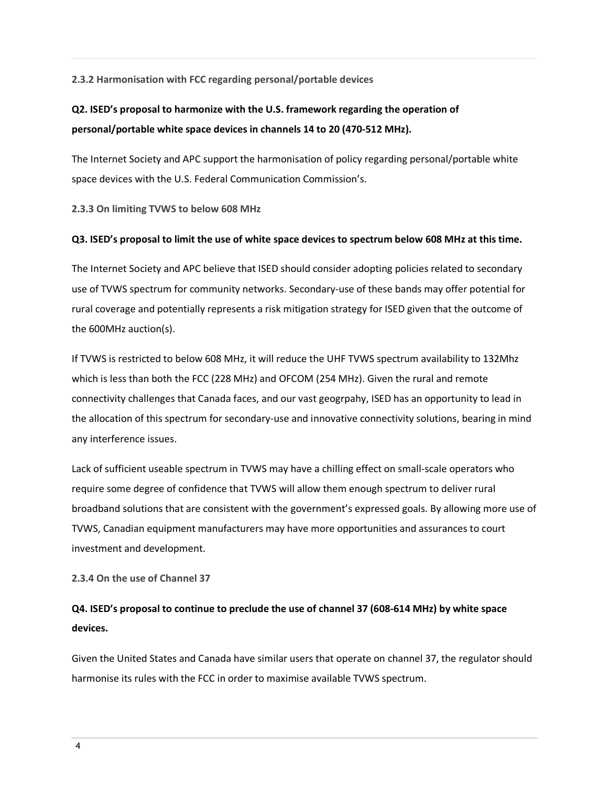## **2.3.2 Harmonisation with FCC regarding personal/portable devices**

# **Q2. ISED's proposal to harmonize with the U.S. framework regarding the operation of personal/portable white space devices in channels 14 to 20 (470-512 MHz).**

The Internet Society and APC support the harmonisation of policy regarding personal/portable white space devices with the U.S. Federal Communication Commission's.

**2.3.3 On limiting TVWS to below 608 MHz**

### **Q3. ISED's proposal to limit the use of white space devices to spectrum below 608 MHz at this time.**

The Internet Society and APC believe that ISED should consider adopting policies related to secondary use of TVWS spectrum for community networks. Secondary-use of these bands may offer potential for rural coverage and potentially represents a risk mitigation strategy for ISED given that the outcome of the 600MHz auction(s).

If TVWS is restricted to below 608 MHz, it will reduce the UHF TVWS spectrum availability to 132Mhz which is less than both the FCC (228 MHz) and OFCOM (254 MHz). Given the rural and remote connectivity challenges that Canada faces, and our vast geogrpahy, ISED has an opportunity to lead in the allocation of this spectrum for secondary-use and innovative connectivity solutions, bearing in mind any interference issues.

Lack of sufficient useable spectrum in TVWS may have a chilling effect on small-scale operators who require some degree of confidence that TVWS will allow them enough spectrum to deliver rural broadband solutions that are consistent with the government's expressed goals. By allowing more use of TVWS, Canadian equipment manufacturers may have more opportunities and assurances to court investment and development.

**2.3.4 On the use of Channel 37**

# **Q4. ISED's proposal to continue to preclude the use of channel 37 (608-614 MHz) by white space devices.**

Given the United States and Canada have similar users that operate on channel 37, the regulator should harmonise its rules with the FCC in order to maximise available TVWS spectrum.